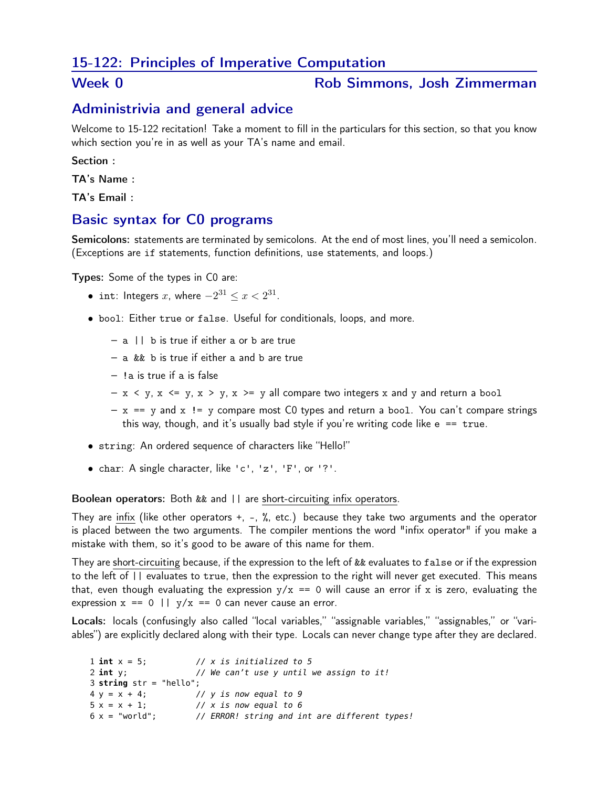# 15-122: Principles of Imperative Computation

#### Week 0 **Rob Simmons**, Josh Zimmerman

# Administrivia and general advice

Welcome to 15-122 recitation! Take a moment to fill in the particulars for this section, so that you know which section you're in as well as your TA's name and email.

Section :

TA's Name :

TA's Email :

#### Basic syntax for C0 programs

Semicolons: statements are terminated by semicolons. At the end of most lines, you'll need a semicolon. (Exceptions are if statements, function definitions, use statements, and loops.)

Types: Some of the types in C0 are:

- int: Integers  $x$ , where  $-2^{31} \leq x < 2^{31}$ .
- bool: Either true or false. Useful for conditionals, loops, and more.
	- a || b is true if either a or b are true
	- a && b is true if either a and b are true
	- !a is true if a is false
	- $x < y$ ,  $x < = y$ ,  $x > y$ ,  $x > = y$  all compare two integers x and y and return a bool
	- $x == y$  and  $x != y$  compare most C0 types and return a bool. You can't compare strings this way, though, and it's usually bad style if you're writing code like  $e = = true$ .
- string: An ordered sequence of characters like "Hello!"
- char: A single character, like 'c', 'z', 'F', or '?'.

#### Boolean operators: Both && and || are short-circuiting infix operators.

They are infix (like other operators +, -, %, etc.) because they take two arguments and the operator is placed between the two arguments. The compiler mentions the word "infix operator" if you make a mistake with them, so it's good to be aware of this name for them.

They are short-circuiting because, if the expression to the left of && evaluates to false or if the expression to the left of || evaluates to true, then the expression to the right will never get executed. This means that, even though evaluating the expression  $y/x == 0$  will cause an error if x is zero, evaluating the expression  $x == 0$  ||  $y/x == 0$  can never cause an error.

Locals: locals (confusingly also called "local variables," "assignable variables," "assignables," or "variables") are explicitly declared along with their type. Locals can never change type after they are declared.

```
1 int x = 5; // x is initialized to 5
2 int y; // We can't use y until we assign to it!
3 string str = "hello";
4 y = x + 4; // y is now equal to 9
5 x = x + 1; // x is now equal to 6
6 x = "world"; // ERROR! string and int are different types!
```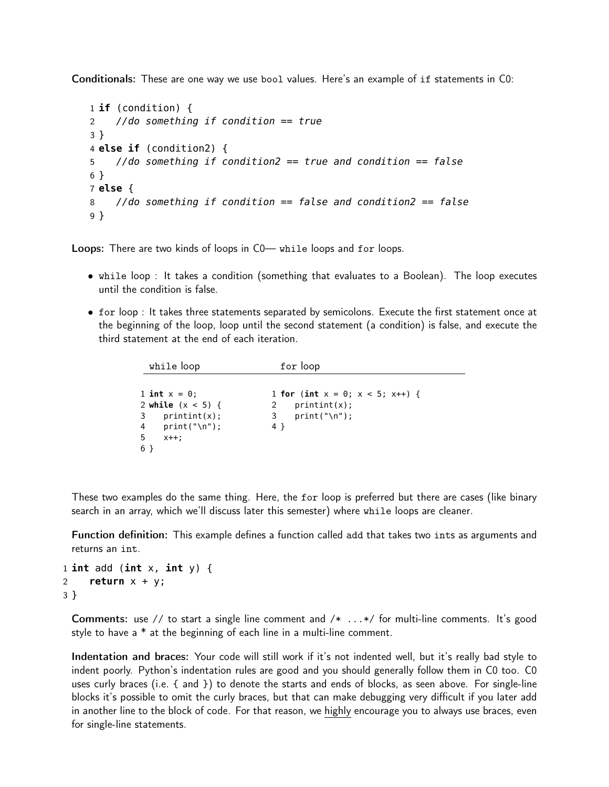Conditionals: These are one way we use bool values. Here's an example of if statements in C0:

```
1 if (condition) {
2 //do something if condition == true
3 }
4 else if (condition2) {
5 //do something if condition2 == true and condition == false
6 }
7 else {
8 //do something if condition == false and condition2 == false
9 }
```
Loops: There are two kinds of loops in C0— while loops and for loops.

- while loop : It takes a condition (something that evaluates to a Boolean). The loop executes until the condition is false.
- for loop : It takes three statements separated by semicolons. Execute the first statement once at the beginning of the loop, loop until the second statement (a condition) is false, and execute the third statement at the end of each iteration.

| while loop                                                                                             | for loop                                                                             |  |
|--------------------------------------------------------------------------------------------------------|--------------------------------------------------------------------------------------|--|
| 1 int $x = 0$ ;<br>2 while $(x < 5)$ {<br>$3$ printint(x);<br>$4$ print("\n");<br>-5<br>$X++$ :<br>6 } | 1 for (int $x = 0$ ; $x < 5$ ; $x++$ ) {<br>$print(x)$ ;<br>print("\n");<br>3<br>4 } |  |
|                                                                                                        |                                                                                      |  |

These two examples do the same thing. Here, the for loop is preferred but there are cases (like binary search in an array, which we'll discuss later this semester) where while loops are cleaner.

Function definition: This example defines a function called add that takes two ints as arguments and returns an int.

```
1 int add (int x, int y) {
2 return x + y;
3 }
```
Comments: use // to start a single line comment and /\* ...\*/ for multi-line comments. It's good style to have a \* at the beginning of each line in a multi-line comment.

Indentation and braces: Your code will still work if it's not indented well, but it's really bad style to indent poorly. Python's indentation rules are good and you should generally follow them in C0 too. C0 uses curly braces (i.e. { and }) to denote the starts and ends of blocks, as seen above. For single-line blocks it's possible to omit the curly braces, but that can make debugging very difficult if you later add in another line to the block of code. For that reason, we highly encourage you to always use braces, even for single-line statements.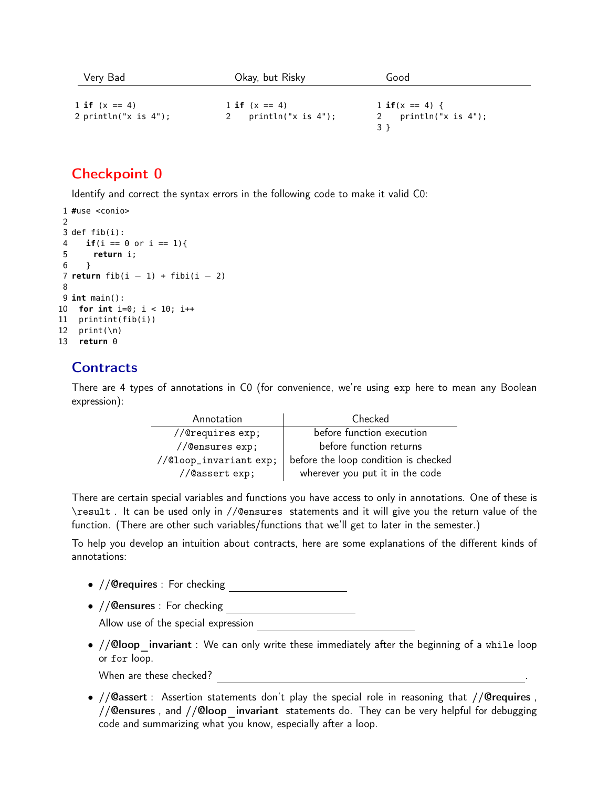| Very Bad                | Okay, but Risky    | Good                        |
|-------------------------|--------------------|-----------------------------|
| 1 if $(x == 4)$         | 1 if $(x == 4)$    | $1 \text{ if } (x == 4) \}$ |
| 2 println("x is $4$ "); | println("x is 4"); | println("x is 4");          |

# Checkpoint 0

Identify and correct the syntax errors in the following code to make it valid C0:

```
1 #use <conio>
\mathfrak{D}3 def fib(i):
4 if(i == \theta or i == 1){
5 return i;
6 }
7 return fib(i - 1) + fib(i - 2)8
9 int main():
10 for int i=0; i < 10; i++
11 printint(fib(i))
12 print(\n)13 return 0
```
# **Contracts**

There are 4 types of annotations in C0 (for convenience, we're using exp here to mean any Boolean expression):

| Annotation            | Checked                              |  |
|-----------------------|--------------------------------------|--|
| //@requires exp;      | before function execution            |  |
| //@ensures exp;       | before function returns              |  |
| //@loop_invariantexp; | before the loop condition is checked |  |
| //@assert exp;        | wherever you put it in the code      |  |

There are certain special variables and functions you have access to only in annotations. One of these is \result . It can be used only in //@ensures statements and it will give you the return value of the function. (There are other such variables/functions that we'll get to later in the semester.)

To help you develop an intuition about contracts, here are some explanations of the different kinds of annotations:

- //@requires : For checking
- //@ensures : For checking

Allow use of the special expression

•  $// **Qloop**$  invariant : We can only write these immediately after the beginning of a while loop or for loop.

When are these checked?

• //@assert : Assertion statements don't play the special role in reasoning that //@requires , // Censures, and // Cloop invariant statements do. They can be very helpful for debugging code and summarizing what you know, especially after a loop.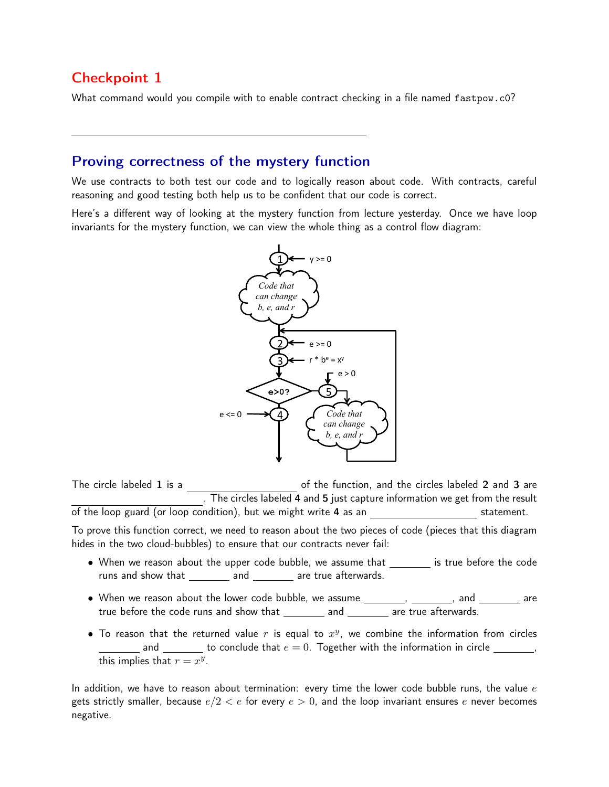# Checkpoint 1

What command would you compile with to enable contract checking in a file named fastpow.c0?

### Proving correctness of the mystery function

We use contracts to both test our code and to logically reason about code. With contracts, careful reasoning and good testing both help us to be confident that our code is correct.

Here's a different way of looking at the mystery function from lecture yesterday. Once we have loop invariants for the mystery function, we can view the whole thing as a control flow diagram:



The circle labeled  $1$  is a  $\qquad \qquad$  of the function, and the circles labeled  $2$  and  $3$  are . The circles labeled 4 and 5 just capture information we get from the result of the loop guard (or loop condition), but we might write 4 as an statement. To prove this function correct, we need to reason about the two pieces of code (pieces that this diagram hides in the two cloud-bubbles) to ensure that our contracts never fail:

- $\bullet$  When we reason about the upper code bubble, we assume that  $\rule{1em}{0.15mm}$  is true before the code runs and show that \_\_\_\_\_\_\_\_\_ and \_\_\_\_\_\_\_\_ are true afterwards.
- true before the code runs and show that  $\_\_\_\_\_$  and  $\_\_\_\_\_$  are true afterwards.  $\bullet$  When we reason about the lower code bubble, we assume  $\_\_\_\_\_\_\_\$ ,  $\_\_\_\_\_$  and  $\_\_\_\_\_\_$  are
- To reason that the returned value  $r$  is equal to  $x^y$ , we combine the information from circles and  $\frac{1}{\sqrt{1-\frac{1}{\sqrt{1-\frac{1}{\sqrt{1-\frac{1}{\sqrt{1-\frac{1}{\sqrt{1-\frac{1}{\sqrt{1-\frac{1}{\sqrt{1-\frac{1}{\sqrt{1-\frac{1}{\sqrt{1-\frac{1}{\sqrt{1-\frac{1}{\sqrt{1-\frac{1}{\sqrt{1-\frac{1}{\sqrt{1-\frac{1}{\sqrt{1-\frac{1}{\sqrt{1-\frac{1}{\sqrt{1-\frac{1}{\sqrt{1-\frac{1}{\sqrt{1-\frac{1}{\sqrt{1-\frac{1}{\sqrt{1-\frac{1}{\sqrt{1-\frac{1}{\sqrt{1-\frac{1}{\sqrt{1-\frac{1}{\sqrt{1$ this implies that  $r = x^y$ .

In addition, we have to reason about termination: every time the lower code bubble runs, the value  $e$ gets strictly smaller, because  $e/2 < e$  for every  $e > 0$ , and the loop invariant ensures e never becomes negative.